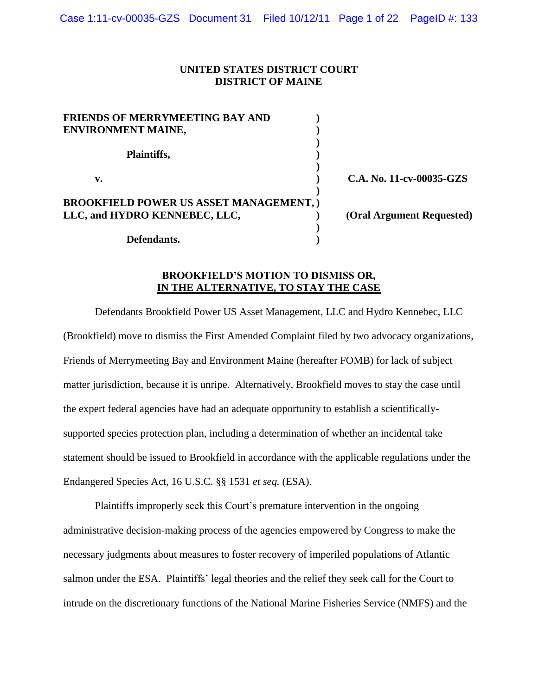### **UNITED STATES DISTRICT COURT DISTRICT OF MAINE**

| <b>FRIENDS OF MERRYMEETING BAY AND</b>         |                           |
|------------------------------------------------|---------------------------|
| <b>ENVIRONMENT MAINE,</b>                      |                           |
|                                                |                           |
| Plaintiffs,                                    |                           |
|                                                |                           |
| v.                                             | C.A. No. 11-cv-00035-GZS  |
|                                                |                           |
| <b>BROOKFIELD POWER US ASSET MANAGEMENT, )</b> |                           |
| LLC, and HYDRO KENNEBEC, LLC,                  | (Oral Argument Requested) |
|                                                |                           |
| Defendants.                                    |                           |

# **BROOKFIELD'S MOTION TO DISMISS OR, IN THE ALTERNATIVE, TO STAY THE CASE**

Defendants Brookfield Power US Asset Management, LLC and Hydro Kennebec, LLC (Brookfield) move to dismiss the First Amended Complaint filed by two advocacy organizations, Friends of Merrymeeting Bay and Environment Maine (hereafter FOMB) for lack of subject matter jurisdiction, because it is unripe. Alternatively, Brookfield moves to stay the case until the expert federal agencies have had an adequate opportunity to establish a scientificallysupported species protection plan, including a determination of whether an incidental take statement should be issued to Brookfield in accordance with the applicable regulations under the Endangered Species Act, 16 U.S.C. §§ 1531 *et seq.* (ESA).

Plaintiffs improperly seek this Court's premature intervention in the ongoing administrative decision-making process of the agencies empowered by Congress to make the necessary judgments about measures to foster recovery of imperiled populations of Atlantic salmon under the ESA. Plaintiffs" legal theories and the relief they seek call for the Court to intrude on the discretionary functions of the National Marine Fisheries Service (NMFS) and the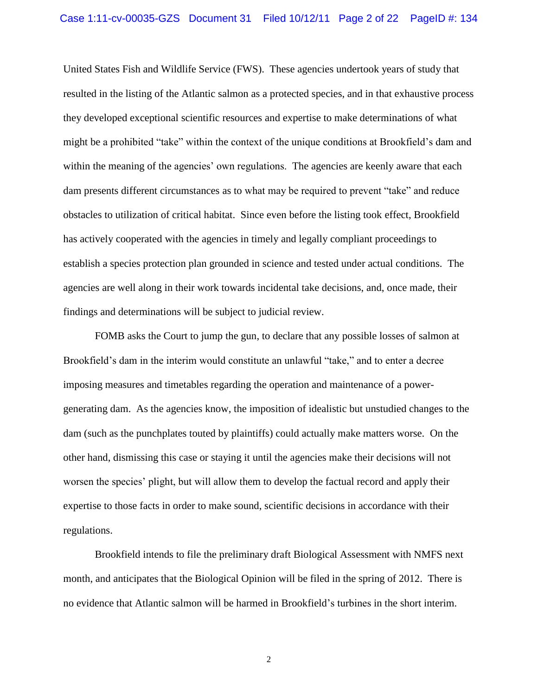United States Fish and Wildlife Service (FWS). These agencies undertook years of study that resulted in the listing of the Atlantic salmon as a protected species, and in that exhaustive process they developed exceptional scientific resources and expertise to make determinations of what might be a prohibited "take" within the context of the unique conditions at Brookfield"s dam and within the meaning of the agencies' own regulations. The agencies are keenly aware that each dam presents different circumstances as to what may be required to prevent "take" and reduce obstacles to utilization of critical habitat. Since even before the listing took effect, Brookfield has actively cooperated with the agencies in timely and legally compliant proceedings to establish a species protection plan grounded in science and tested under actual conditions. The agencies are well along in their work towards incidental take decisions, and, once made, their findings and determinations will be subject to judicial review.

FOMB asks the Court to jump the gun, to declare that any possible losses of salmon at Brookfield's dam in the interim would constitute an unlawful "take," and to enter a decree imposing measures and timetables regarding the operation and maintenance of a powergenerating dam. As the agencies know, the imposition of idealistic but unstudied changes to the dam (such as the punchplates touted by plaintiffs) could actually make matters worse. On the other hand, dismissing this case or staying it until the agencies make their decisions will not worsen the species' plight, but will allow them to develop the factual record and apply their expertise to those facts in order to make sound, scientific decisions in accordance with their regulations.

Brookfield intends to file the preliminary draft Biological Assessment with NMFS next month, and anticipates that the Biological Opinion will be filed in the spring of 2012. There is no evidence that Atlantic salmon will be harmed in Brookfield"s turbines in the short interim.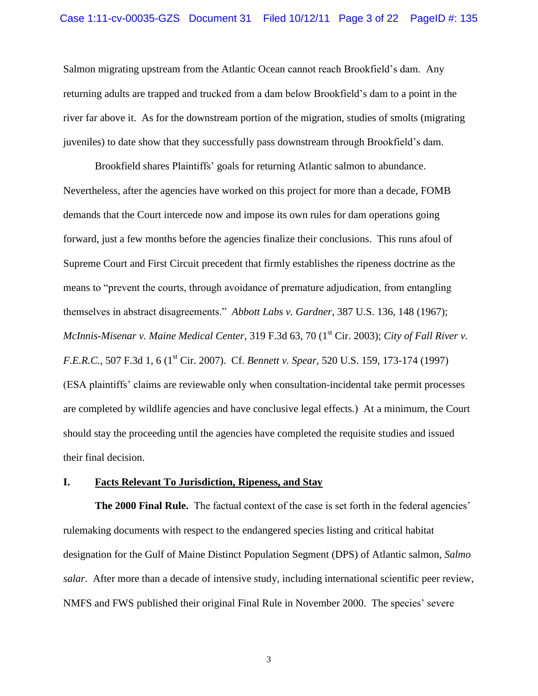Salmon migrating upstream from the Atlantic Ocean cannot reach Brookfield"s dam. Any returning adults are trapped and trucked from a dam below Brookfield"s dam to a point in the river far above it. As for the downstream portion of the migration, studies of smolts (migrating juveniles) to date show that they successfully pass downstream through Brookfield"s dam.

Brookfield shares Plaintiffs" goals for returning Atlantic salmon to abundance. Nevertheless, after the agencies have worked on this project for more than a decade, FOMB demands that the Court intercede now and impose its own rules for dam operations going forward, just a few months before the agencies finalize their conclusions. This runs afoul of Supreme Court and First Circuit precedent that firmly establishes the ripeness doctrine as the means to "prevent the courts, through avoidance of premature adjudication, from entangling themselves in abstract disagreements." *Abbott Labs v. Gardner*, 387 U.S. 136, 148 (1967); *McInnis-Misenar v. Maine Medical Center*, 319 F.3d 63, 70 (1<sup>st</sup> Cir. 2003); *City of Fall River v. F.E.R.C.*, 507 F.3d 1, 6 (1<sup>st</sup> Cir. 2007). Cf. *Bennett v. Spear*, 520 U.S. 159, 173-174 (1997) (ESA plaintiffs" claims are reviewable only when consultation-incidental take permit processes are completed by wildlife agencies and have conclusive legal effects.) At a minimum, the Court should stay the proceeding until the agencies have completed the requisite studies and issued their final decision.

### **I. Facts Relevant To Jurisdiction, Ripeness, and Stay**

**The 2000 Final Rule.** The factual context of the case is set forth in the federal agencies' rulemaking documents with respect to the endangered species listing and critical habitat designation for the Gulf of Maine Distinct Population Segment (DPS) of Atlantic salmon, *Salmo salar*. After more than a decade of intensive study, including international scientific peer review, NMFS and FWS published their original Final Rule in November 2000. The species' severe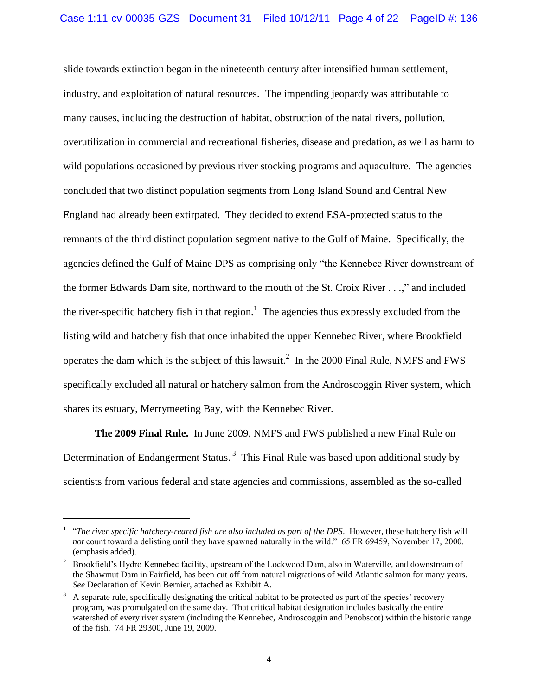slide towards extinction began in the nineteenth century after intensified human settlement, industry, and exploitation of natural resources. The impending jeopardy was attributable to many causes, including the destruction of habitat, obstruction of the natal rivers, pollution, overutilization in commercial and recreational fisheries, disease and predation, as well as harm to wild populations occasioned by previous river stocking programs and aquaculture. The agencies concluded that two distinct population segments from Long Island Sound and Central New England had already been extirpated. They decided to extend ESA-protected status to the remnants of the third distinct population segment native to the Gulf of Maine. Specifically, the agencies defined the Gulf of Maine DPS as comprising only "the Kennebec River downstream of the former Edwards Dam site, northward to the mouth of the St. Croix River . . .," and included the river-specific hatchery fish in that region.<sup>1</sup> The agencies thus expressly excluded from the listing wild and hatchery fish that once inhabited the upper Kennebec River, where Brookfield operates the dam which is the subject of this lawsuit.<sup>2</sup> In the 2000 Final Rule, NMFS and FWS specifically excluded all natural or hatchery salmon from the Androscoggin River system, which shares its estuary, Merrymeeting Bay, with the Kennebec River.

**The 2009 Final Rule.** In June 2009, NMFS and FWS published a new Final Rule on Determination of Endangerment Status.<sup>3</sup> This Final Rule was based upon additional study by scientists from various federal and state agencies and commissions, assembled as the so-called

<sup>&</sup>lt;sup>1</sup> "The river specific hatchery-reared fish are also included as part of the DPS. However, these hatchery fish will *not* count toward a delisting until they have spawned naturally in the wild." 65 FR 69459, November 17, 2000. (emphasis added).

<sup>&</sup>lt;sup>2</sup> Brookfield's Hydro Kennebec facility, upstream of the Lockwood Dam, also in Waterville, and downstream of the Shawmut Dam in Fairfield, has been cut off from natural migrations of wild Atlantic salmon for many years. *See* Declaration of Kevin Bernier, attached as Exhibit A.

 $3\text{ A separate rule, specifically designing the critical habitat to be protected as part of the species' recovery.}$ program, was promulgated on the same day. That critical habitat designation includes basically the entire watershed of every river system (including the Kennebec, Androscoggin and Penobscot) within the historic range of the fish. 74 FR 29300, June 19, 2009.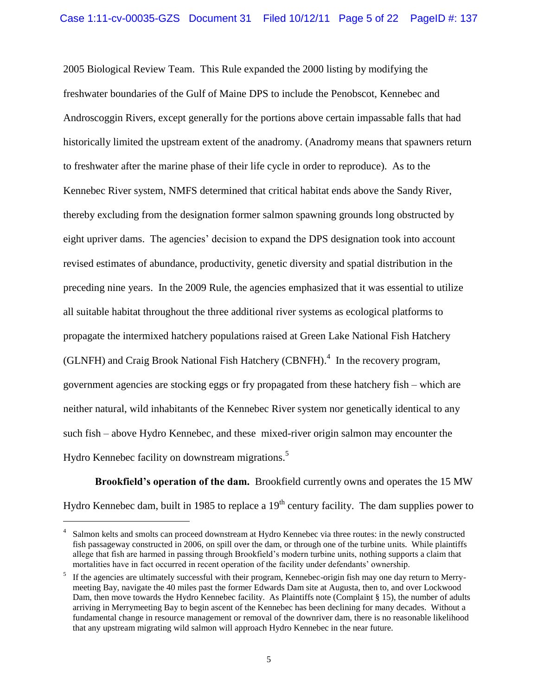2005 Biological Review Team. This Rule expanded the 2000 listing by modifying the freshwater boundaries of the Gulf of Maine DPS to include the Penobscot, Kennebec and Androscoggin Rivers, except generally for the portions above certain impassable falls that had historically limited the upstream extent of the anadromy. (Anadromy means that spawners return to freshwater after the marine phase of their life cycle in order to reproduce). As to the Kennebec River system, NMFS determined that critical habitat ends above the Sandy River, thereby excluding from the designation former salmon spawning grounds long obstructed by eight upriver dams. The agencies' decision to expand the DPS designation took into account revised estimates of abundance, productivity, genetic diversity and spatial distribution in the preceding nine years. In the 2009 Rule, the agencies emphasized that it was essential to utilize all suitable habitat throughout the three additional river systems as ecological platforms to propagate the intermixed hatchery populations raised at Green Lake National Fish Hatchery (GLNFH) and Craig Brook National Fish Hatchery (CBNFH). $<sup>4</sup>$  In the recovery program,</sup> government agencies are stocking eggs or fry propagated from these hatchery fish – which are neither natural, wild inhabitants of the Kennebec River system nor genetically identical to any such fish – above Hydro Kennebec, and these mixed-river origin salmon may encounter the Hydro Kennebec facility on downstream migrations.<sup>5</sup>

**Brookfield's operation of the dam.** Brookfield currently owns and operates the 15 MW Hydro Kennebec dam, built in 1985 to replace a  $19<sup>th</sup>$  century facility. The dam supplies power to

<sup>4</sup> Salmon kelts and smolts can proceed downstream at Hydro Kennebec via three routes: in the newly constructed fish passageway constructed in 2006, on spill over the dam, or through one of the turbine units. While plaintiffs allege that fish are harmed in passing through Brookfield"s modern turbine units, nothing supports a claim that mortalities have in fact occurred in recent operation of the facility under defendants" ownership.

<sup>5</sup> If the agencies are ultimately successful with their program, Kennebec-origin fish may one day return to Merrymeeting Bay, navigate the 40 miles past the former Edwards Dam site at Augusta, then to, and over Lockwood Dam, then move towards the Hydro Kennebec facility. As Plaintiffs note (Complaint § 15), the number of adults arriving in Merrymeeting Bay to begin ascent of the Kennebec has been declining for many decades. Without a fundamental change in resource management or removal of the downriver dam, there is no reasonable likelihood that any upstream migrating wild salmon will approach Hydro Kennebec in the near future.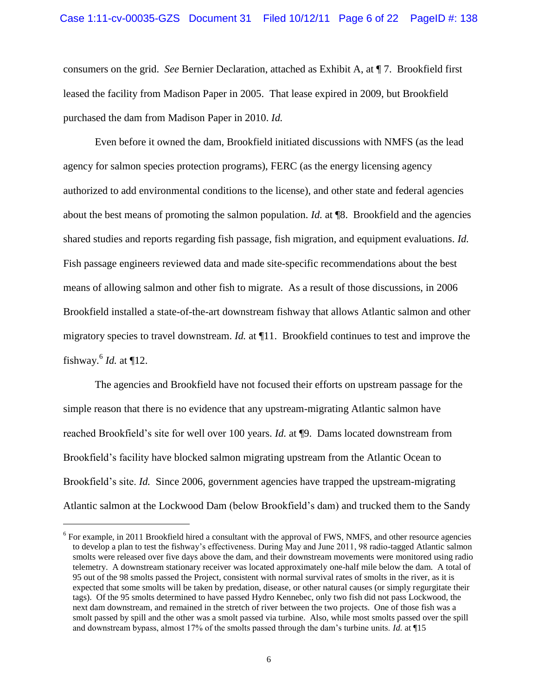consumers on the grid. *See* Bernier Declaration, attached as Exhibit A, at ¶ 7. Brookfield first leased the facility from Madison Paper in 2005. That lease expired in 2009, but Brookfield purchased the dam from Madison Paper in 2010. *Id.*

Even before it owned the dam, Brookfield initiated discussions with NMFS (as the lead agency for salmon species protection programs), FERC (as the energy licensing agency authorized to add environmental conditions to the license), and other state and federal agencies about the best means of promoting the salmon population. *Id.* at ¶8. Brookfield and the agencies shared studies and reports regarding fish passage, fish migration, and equipment evaluations. *Id.* Fish passage engineers reviewed data and made site-specific recommendations about the best means of allowing salmon and other fish to migrate. As a result of those discussions, in 2006 Brookfield installed a state-of-the-art downstream fishway that allows Atlantic salmon and other migratory species to travel downstream. *Id.* at ¶11. Brookfield continues to test and improve the fishway.<sup>6</sup> *Id.* at ¶12.

The agencies and Brookfield have not focused their efforts on upstream passage for the simple reason that there is no evidence that any upstream-migrating Atlantic salmon have reached Brookfield"s site for well over 100 years. *Id.* at ¶9. Dams located downstream from Brookfield"s facility have blocked salmon migrating upstream from the Atlantic Ocean to Brookfield's site. *Id.* Since 2006, government agencies have trapped the upstream-migrating Atlantic salmon at the Lockwood Dam (below Brookfield"s dam) and trucked them to the Sandy

 $6$  For example, in 2011 Brookfield hired a consultant with the approval of FWS, NMFS, and other resource agencies to develop a plan to test the fishway"s effectiveness. During May and June 2011, 98 radio-tagged Atlantic salmon smolts were released over five days above the dam, and their downstream movements were monitored using radio telemetry. A downstream stationary receiver was located approximately one-half mile below the dam. A total of 95 out of the 98 smolts passed the Project, consistent with normal survival rates of smolts in the river, as it is expected that some smolts will be taken by predation, disease, or other natural causes (or simply regurgitate their tags). Of the 95 smolts determined to have passed Hydro Kennebec, only two fish did not pass Lockwood, the next dam downstream, and remained in the stretch of river between the two projects. One of those fish was a smolt passed by spill and the other was a smolt passed via turbine. Also, while most smolts passed over the spill and downstream bypass, almost 17% of the smolts passed through the dam"s turbine units. *Id.* at ¶15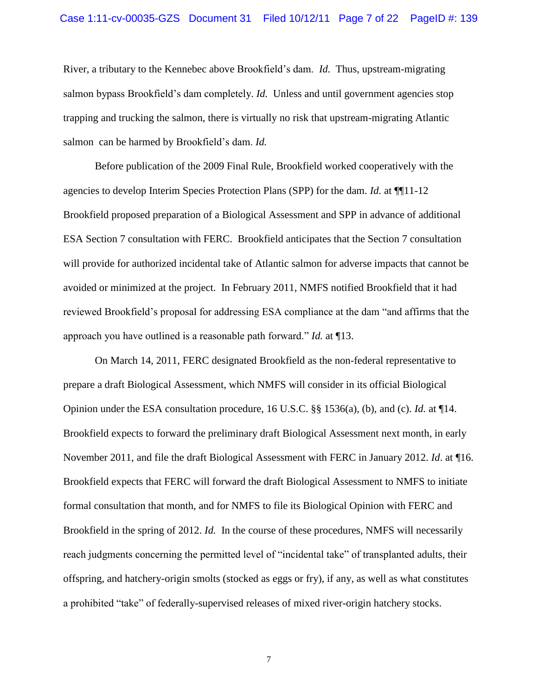#### Case 1:11-cv-00035-GZS Document 31 Filed 10/12/11 Page 7 of 22 PageID #: 139

River, a tributary to the Kennebec above Brookfield"s dam. *Id.* Thus, upstream-migrating salmon bypass Brookfield's dam completely. *Id.* Unless and until government agencies stop trapping and trucking the salmon, there is virtually no risk that upstream-migrating Atlantic salmon can be harmed by Brookfield"s dam. *Id.*

Before publication of the 2009 Final Rule, Brookfield worked cooperatively with the agencies to develop Interim Species Protection Plans (SPP) for the dam. *Id.* at ¶¶11-12 Brookfield proposed preparation of a Biological Assessment and SPP in advance of additional ESA Section 7 consultation with FERC. Brookfield anticipates that the Section 7 consultation will provide for authorized incidental take of Atlantic salmon for adverse impacts that cannot be avoided or minimized at the project. In February 2011, NMFS notified Brookfield that it had reviewed Brookfield"s proposal for addressing ESA compliance at the dam "and affirms that the approach you have outlined is a reasonable path forward." *Id.* at ¶13.

On March 14, 2011, FERC designated Brookfield as the non-federal representative to prepare a draft Biological Assessment, which NMFS will consider in its official Biological Opinion under the ESA consultation procedure, 16 U.S.C. §§ 1536(a), (b), and (c). *Id.* at ¶14. Brookfield expects to forward the preliminary draft Biological Assessment next month, in early November 2011, and file the draft Biological Assessment with FERC in January 2012. *Id*. at ¶16. Brookfield expects that FERC will forward the draft Biological Assessment to NMFS to initiate formal consultation that month, and for NMFS to file its Biological Opinion with FERC and Brookfield in the spring of 2012. *Id.* In the course of these procedures, NMFS will necessarily reach judgments concerning the permitted level of "incidental take" of transplanted adults, their offspring, and hatchery-origin smolts (stocked as eggs or fry), if any, as well as what constitutes a prohibited "take" of federally-supervised releases of mixed river-origin hatchery stocks.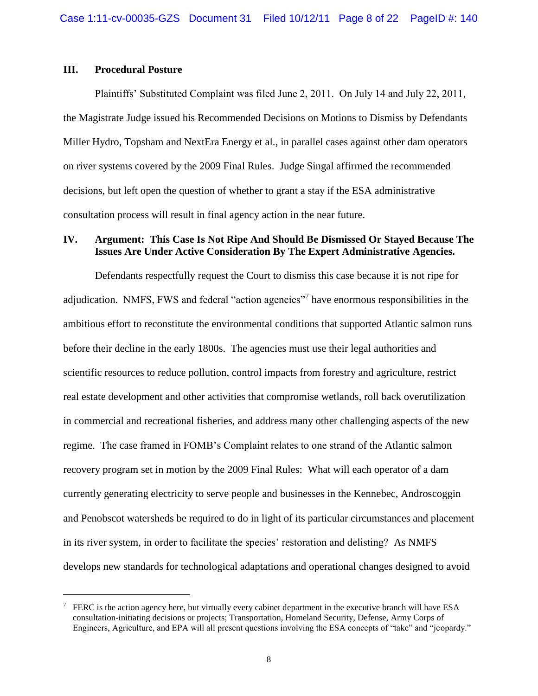## **III. Procedural Posture**

 $\overline{a}$ 

Plaintiffs" Substituted Complaint was filed June 2, 2011. On July 14 and July 22, 2011, the Magistrate Judge issued his Recommended Decisions on Motions to Dismiss by Defendants Miller Hydro, Topsham and NextEra Energy et al., in parallel cases against other dam operators on river systems covered by the 2009 Final Rules. Judge Singal affirmed the recommended decisions, but left open the question of whether to grant a stay if the ESA administrative consultation process will result in final agency action in the near future.

# **IV. Argument: This Case Is Not Ripe And Should Be Dismissed Or Stayed Because The Issues Are Under Active Consideration By The Expert Administrative Agencies.**

Defendants respectfully request the Court to dismiss this case because it is not ripe for adjudication. NMFS, FWS and federal "action agencies"<sup>7</sup> have enormous responsibilities in the ambitious effort to reconstitute the environmental conditions that supported Atlantic salmon runs before their decline in the early 1800s. The agencies must use their legal authorities and scientific resources to reduce pollution, control impacts from forestry and agriculture, restrict real estate development and other activities that compromise wetlands, roll back overutilization in commercial and recreational fisheries, and address many other challenging aspects of the new regime. The case framed in FOMB"s Complaint relates to one strand of the Atlantic salmon recovery program set in motion by the 2009 Final Rules: What will each operator of a dam currently generating electricity to serve people and businesses in the Kennebec, Androscoggin and Penobscot watersheds be required to do in light of its particular circumstances and placement in its river system, in order to facilitate the species' restoration and delisting? As NMFS develops new standards for technological adaptations and operational changes designed to avoid

<sup>7</sup> FERC is the action agency here, but virtually every cabinet department in the executive branch will have ESA consultation-initiating decisions or projects; Transportation, Homeland Security, Defense, Army Corps of Engineers, Agriculture, and EPA will all present questions involving the ESA concepts of "take" and "jeopardy."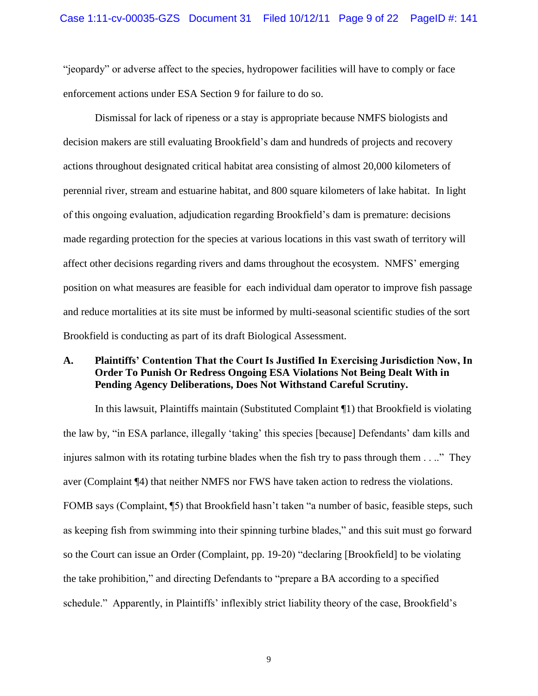"jeopardy" or adverse affect to the species, hydropower facilities will have to comply or face enforcement actions under ESA Section 9 for failure to do so.

Dismissal for lack of ripeness or a stay is appropriate because NMFS biologists and decision makers are still evaluating Brookfield"s dam and hundreds of projects and recovery actions throughout designated critical habitat area consisting of almost 20,000 kilometers of perennial river, stream and estuarine habitat, and 800 square kilometers of lake habitat. In light of this ongoing evaluation, adjudication regarding Brookfield"s dam is premature: decisions made regarding protection for the species at various locations in this vast swath of territory will affect other decisions regarding rivers and dams throughout the ecosystem. NMFS" emerging position on what measures are feasible for each individual dam operator to improve fish passage and reduce mortalities at its site must be informed by multi-seasonal scientific studies of the sort Brookfield is conducting as part of its draft Biological Assessment.

# **A. Plaintiffs' Contention That the Court Is Justified In Exercising Jurisdiction Now, In Order To Punish Or Redress Ongoing ESA Violations Not Being Dealt With in Pending Agency Deliberations, Does Not Withstand Careful Scrutiny.**

In this lawsuit, Plaintiffs maintain (Substituted Complaint ¶1) that Brookfield is violating the law by, "in ESA parlance, illegally "taking" this species [because] Defendants" dam kills and injures salmon with its rotating turbine blades when the fish try to pass through them . . .." They aver (Complaint ¶4) that neither NMFS nor FWS have taken action to redress the violations. FOMB says (Complaint, ¶5) that Brookfield hasn't taken "a number of basic, feasible steps, such as keeping fish from swimming into their spinning turbine blades," and this suit must go forward so the Court can issue an Order (Complaint, pp. 19-20) "declaring [Brookfield] to be violating the take prohibition," and directing Defendants to "prepare a BA according to a specified schedule." Apparently, in Plaintiffs' inflexibly strict liability theory of the case, Brookfield's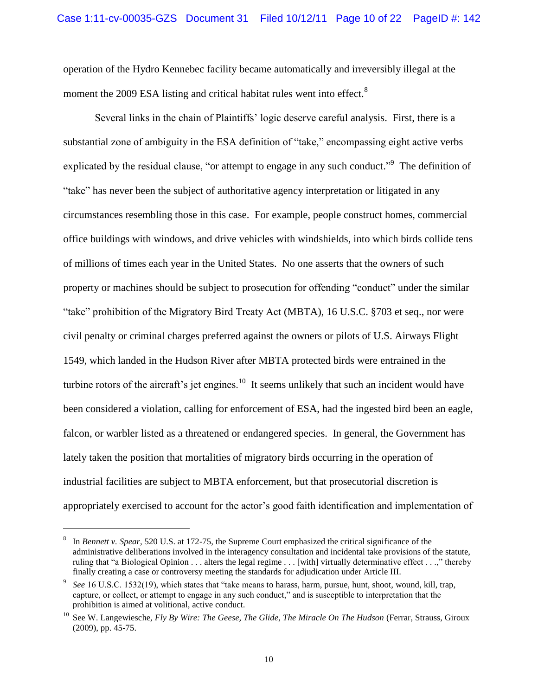operation of the Hydro Kennebec facility became automatically and irreversibly illegal at the moment the 2009 ESA listing and critical habitat rules went into effect.<sup>8</sup>

Several links in the chain of Plaintiffs" logic deserve careful analysis. First, there is a substantial zone of ambiguity in the ESA definition of "take," encompassing eight active verbs explicated by the residual clause, "or attempt to engage in any such conduct."<sup>9</sup> The definition of "take" has never been the subject of authoritative agency interpretation or litigated in any circumstances resembling those in this case. For example, people construct homes, commercial office buildings with windows, and drive vehicles with windshields, into which birds collide tens of millions of times each year in the United States. No one asserts that the owners of such property or machines should be subject to prosecution for offending "conduct" under the similar "take" prohibition of the Migratory Bird Treaty Act (MBTA), 16 U.S.C. §703 et seq., nor were civil penalty or criminal charges preferred against the owners or pilots of U.S. Airways Flight 1549, which landed in the Hudson River after MBTA protected birds were entrained in the turbine rotors of the aircraft's jet engines.<sup>10</sup> It seems unlikely that such an incident would have been considered a violation, calling for enforcement of ESA, had the ingested bird been an eagle, falcon, or warbler listed as a threatened or endangered species. In general, the Government has lately taken the position that mortalities of migratory birds occurring in the operation of industrial facilities are subject to MBTA enforcement, but that prosecutorial discretion is appropriately exercised to account for the actor"s good faith identification and implementation of

<sup>8</sup> In *Bennett v. Spear*, 520 U.S. at 172-75, the Supreme Court emphasized the critical significance of the administrative deliberations involved in the interagency consultation and incidental take provisions of the statute, ruling that "a Biological Opinion . . . alters the legal regime . . . [with] virtually determinative effect . . .," thereby finally creating a case or controversy meeting the standards for adjudication under Article III.

<sup>9</sup> *See* 16 U.S.C. 1532(19), which states that "take means to harass, harm, pursue, hunt, shoot, wound, kill, trap, capture, or collect, or attempt to engage in any such conduct," and is susceptible to interpretation that the prohibition is aimed at volitional, active conduct.

<sup>10</sup> See W. Langewiesche, *Fly By Wire: The Geese, The Glide, The Miracle On The Hudson* (Ferrar, Strauss, Giroux (2009), pp. 45-75.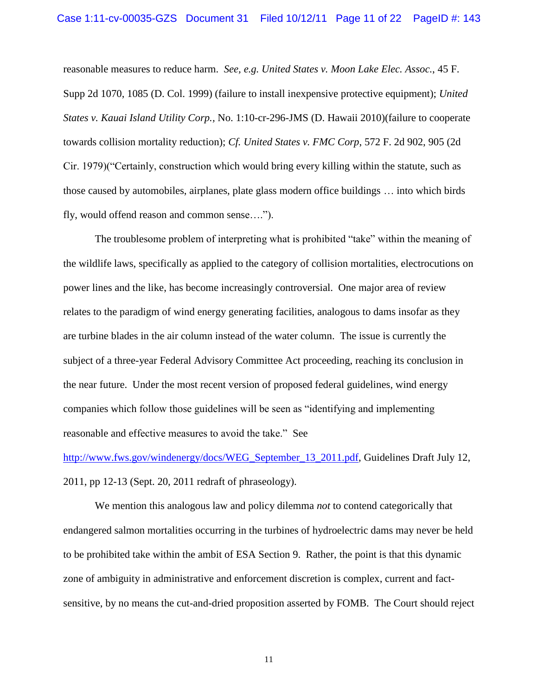reasonable measures to reduce harm. *See, e.g. United States v. Moon Lake Elec. Assoc.*, 45 F. Supp 2d 1070, 1085 (D. Col. 1999) (failure to install inexpensive protective equipment); *United States v. Kauai Island Utility Corp.,* No. 1:10-cr-296-JMS (D. Hawaii 2010)(failure to cooperate towards collision mortality reduction); *Cf. United States v. FMC Corp*, 572 F. 2d 902, 905 (2d Cir. 1979)("Certainly, construction which would bring every killing within the statute, such as those caused by automobiles, airplanes, plate glass modern office buildings … into which birds fly, would offend reason and common sense….").

The troublesome problem of interpreting what is prohibited "take" within the meaning of the wildlife laws, specifically as applied to the category of collision mortalities, electrocutions on power lines and the like, has become increasingly controversial. One major area of review relates to the paradigm of wind energy generating facilities, analogous to dams insofar as they are turbine blades in the air column instead of the water column. The issue is currently the subject of a three-year Federal Advisory Committee Act proceeding, reaching its conclusion in the near future. Under the most recent version of proposed federal guidelines, wind energy companies which follow those guidelines will be seen as "identifying and implementing reasonable and effective measures to avoid the take." See

[http://www.fws.gov/windenergy/docs/WEG\\_September\\_13\\_2011.pdf,](www.fws.gov/windenergy/docs/WEG%1f_September_13_2011.pdf) Guidelines Draft July 12, 2011, pp 12-13 (Sept. 20, 2011 redraft of phraseology).

We mention this analogous law and policy dilemma *not* to contend categorically that endangered salmon mortalities occurring in the turbines of hydroelectric dams may never be held to be prohibited take within the ambit of ESA Section 9. Rather, the point is that this dynamic zone of ambiguity in administrative and enforcement discretion is complex, current and factsensitive, by no means the cut-and-dried proposition asserted by FOMB. The Court should reject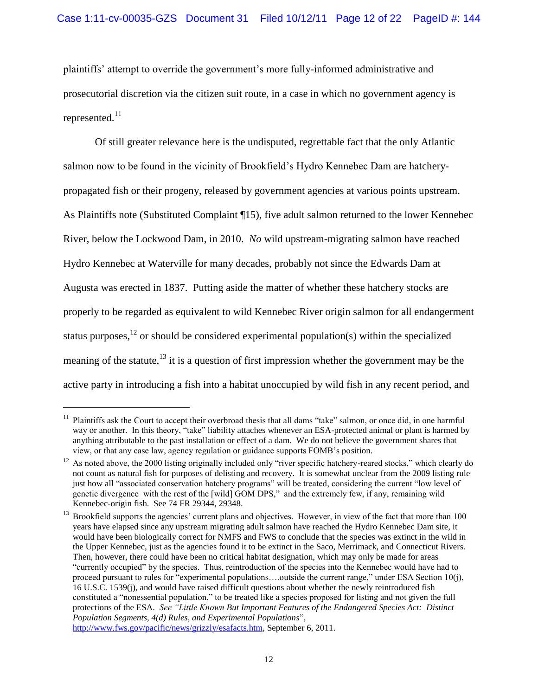plaintiffs" attempt to override the government"s more fully-informed administrative and prosecutorial discretion via the citizen suit route, in a case in which no government agency is represented. $^{11}$ 

Of still greater relevance here is the undisputed, regrettable fact that the only Atlantic salmon now to be found in the vicinity of Brookfield"s Hydro Kennebec Dam are hatcherypropagated fish or their progeny, released by government agencies at various points upstream. As Plaintiffs note (Substituted Complaint ¶15), five adult salmon returned to the lower Kennebec River, below the Lockwood Dam, in 2010. *No* wild upstream-migrating salmon have reached Hydro Kennebec at Waterville for many decades, probably not since the Edwards Dam at Augusta was erected in 1837. Putting aside the matter of whether these hatchery stocks are properly to be regarded as equivalent to wild Kennebec River origin salmon for all endangerment status purposes,<sup>12</sup> or should be considered experimental population(s) within the specialized meaning of the statute,<sup>13</sup> it is a question of first impression whether the government may be the active party in introducing a fish into a habitat unoccupied by wild fish in any recent period, and

<sup>11</sup> Plaintiffs ask the Court to accept their overbroad thesis that all dams "take" salmon, or once did, in one harmful way or another. In this theory, "take" liability attaches whenever an ESA-protected animal or plant is harmed by anything attributable to the past installation or effect of a dam. We do not believe the government shares that view, or that any case law, agency regulation or guidance supports FOMB"s position.

<sup>&</sup>lt;sup>12</sup> As noted above, the 2000 listing originally included only "river specific hatchery-reared stocks," which clearly do not count as natural fish for purposes of delisting and recovery. It is somewhat unclear from the 2009 listing rule just how all "associated conservation hatchery programs" will be treated, considering the current "low level of genetic divergence with the rest of the [wild] GOM DPS," and the extremely few, if any, remaining wild Kennebec-origin fish. See 74 FR 29344, 29348.

<sup>&</sup>lt;sup>13</sup> Brookfield supports the agencies' current plans and objectives. However, in view of the fact that more than 100 years have elapsed since any upstream migrating adult salmon have reached the Hydro Kennebec Dam site, it would have been biologically correct for NMFS and FWS to conclude that the species was extinct in the wild in the Upper Kennebec, just as the agencies found it to be extinct in the Saco, Merrimack, and Connecticut Rivers. Then, however, there could have been no critical habitat designation, which may only be made for areas "currently occupied" by the species. Thus, reintroduction of the species into the Kennebec would have had to proceed pursuant to rules for "experimental populations….outside the current range," under ESA Section 10(j), 16 U.S.C. 1539(j), and would have raised difficult questions about whether the newly reintroduced fish constituted a "nonessential population," to be treated like a species proposed for listing and not given the full protections of the ESA. *See "Little Known But Important Features of the Endangered Species Act: Distinct Population Segments, 4(d) Rules, and Experimental Populations*", [http://www.fws.gov/pacific/news/grizzly/esafacts.htm,](http://www.fws.gov/pacific/news/grizzly/esafacts.htm) September 6, 2011.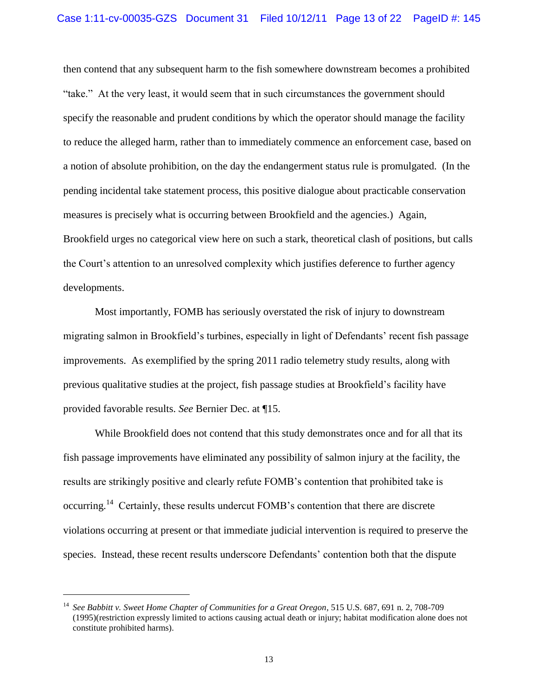then contend that any subsequent harm to the fish somewhere downstream becomes a prohibited "take." At the very least, it would seem that in such circumstances the government should specify the reasonable and prudent conditions by which the operator should manage the facility to reduce the alleged harm, rather than to immediately commence an enforcement case, based on a notion of absolute prohibition, on the day the endangerment status rule is promulgated. (In the pending incidental take statement process, this positive dialogue about practicable conservation measures is precisely what is occurring between Brookfield and the agencies.) Again, Brookfield urges no categorical view here on such a stark, theoretical clash of positions, but calls the Court"s attention to an unresolved complexity which justifies deference to further agency developments.

Most importantly, FOMB has seriously overstated the risk of injury to downstream migrating salmon in Brookfield"s turbines, especially in light of Defendants" recent fish passage improvements. As exemplified by the spring 2011 radio telemetry study results, along with previous qualitative studies at the project, fish passage studies at Brookfield"s facility have provided favorable results. *See* Bernier Dec. at ¶15.

While Brookfield does not contend that this study demonstrates once and for all that its fish passage improvements have eliminated any possibility of salmon injury at the facility, the results are strikingly positive and clearly refute FOMB"s contention that prohibited take is occurring.<sup>14</sup> Certainly, these results undercut FOMB's contention that there are discrete violations occurring at present or that immediate judicial intervention is required to preserve the species. Instead, these recent results underscore Defendants" contention both that the dispute

<sup>14</sup> *See Babbitt v. Sweet Home Chapter of Communities for a Great Oregon*, 515 U.S. 687, 691 n. 2, 708-709 (1995)(restriction expressly limited to actions causing actual death or injury; habitat modification alone does not constitute prohibited harms).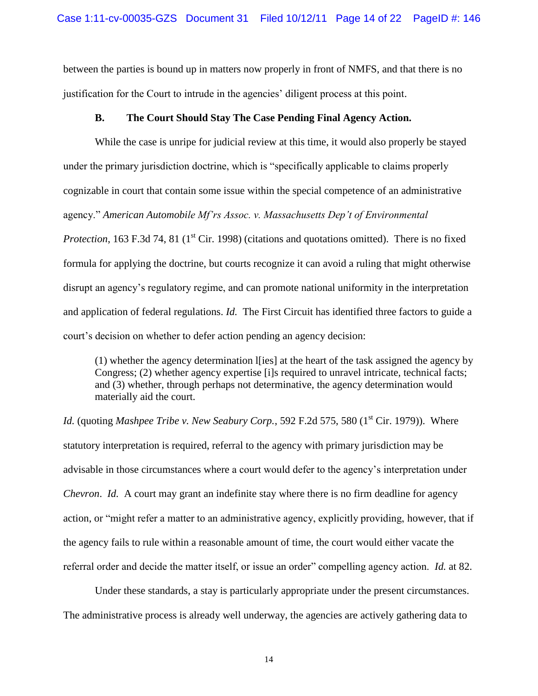between the parties is bound up in matters now properly in front of NMFS, and that there is no justification for the Court to intrude in the agencies" diligent process at this point.

## **B. The Court Should Stay The Case Pending Final Agency Action.**

While the case is unripe for judicial review at this time, it would also properly be stayed under the primary jurisdiction doctrine, which is "specifically applicable to claims properly cognizable in court that contain some issue within the special competence of an administrative agency." *American Automobile Mf'rs Assoc. v. Massachusetts Dep't of Environmental Protection*, 163 F.3d 74, 81 (1<sup>st</sup> Cir. 1998) (citations and quotations omitted). There is no fixed formula for applying the doctrine, but courts recognize it can avoid a ruling that might otherwise disrupt an agency"s regulatory regime, and can promote national uniformity in the interpretation and application of federal regulations. *Id.* The First Circuit has identified three factors to guide a court"s decision on whether to defer action pending an agency decision:

 $(1)$  whether the agency determination  $\mathbf{I}$  [ies] at the heart of the task assigned the agency by Congress; (2) whether agency expertise [i]s required to unravel intricate, technical facts; and (3) whether, through perhaps not determinative, the agency determination would materially aid the court.

*Id.* (quoting *Mashpee Tribe v. New Seabury Corp.*, 592 F.2d 575, 580 (1<sup>st</sup> Cir. 1979)). Where statutory interpretation is required, referral to the agency with primary jurisdiction may be advisable in those circumstances where a court would defer to the agency"s interpretation under *Chevron*. *Id.* A court may grant an indefinite stay where there is no firm deadline for agency action, or "might refer a matter to an administrative agency, explicitly providing, however, that if the agency fails to rule within a reasonable amount of time, the court would either vacate the referral order and decide the matter itself, or issue an order" compelling agency action. *Id.* at 82.

Under these standards, a stay is particularly appropriate under the present circumstances. The administrative process is already well underway, the agencies are actively gathering data to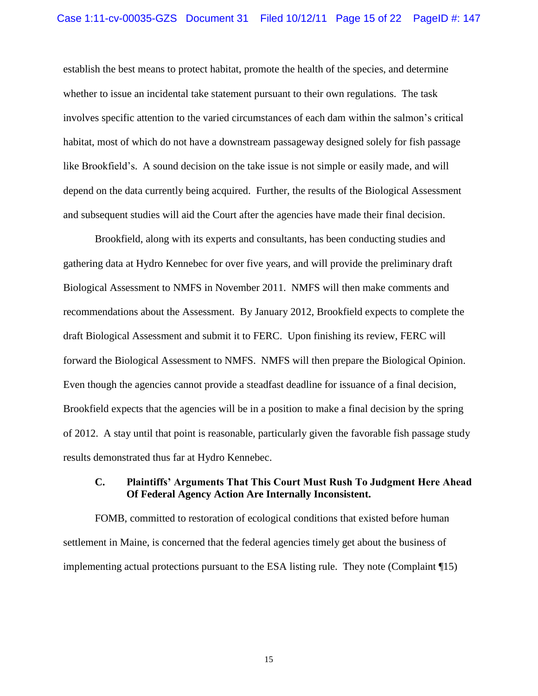establish the best means to protect habitat, promote the health of the species, and determine whether to issue an incidental take statement pursuant to their own regulations. The task involves specific attention to the varied circumstances of each dam within the salmon"s critical habitat, most of which do not have a downstream passageway designed solely for fish passage like Brookfield's. A sound decision on the take issue is not simple or easily made, and will depend on the data currently being acquired. Further, the results of the Biological Assessment and subsequent studies will aid the Court after the agencies have made their final decision.

Brookfield, along with its experts and consultants, has been conducting studies and gathering data at Hydro Kennebec for over five years, and will provide the preliminary draft Biological Assessment to NMFS in November 2011. NMFS will then make comments and recommendations about the Assessment. By January 2012, Brookfield expects to complete the draft Biological Assessment and submit it to FERC. Upon finishing its review, FERC will forward the Biological Assessment to NMFS. NMFS will then prepare the Biological Opinion. Even though the agencies cannot provide a steadfast deadline for issuance of a final decision, Brookfield expects that the agencies will be in a position to make a final decision by the spring of 2012. A stay until that point is reasonable, particularly given the favorable fish passage study results demonstrated thus far at Hydro Kennebec.

### **C. Plaintiffs' Arguments That This Court Must Rush To Judgment Here Ahead Of Federal Agency Action Are Internally Inconsistent.**

FOMB, committed to restoration of ecological conditions that existed before human settlement in Maine, is concerned that the federal agencies timely get about the business of implementing actual protections pursuant to the ESA listing rule. They note (Complaint ¶15)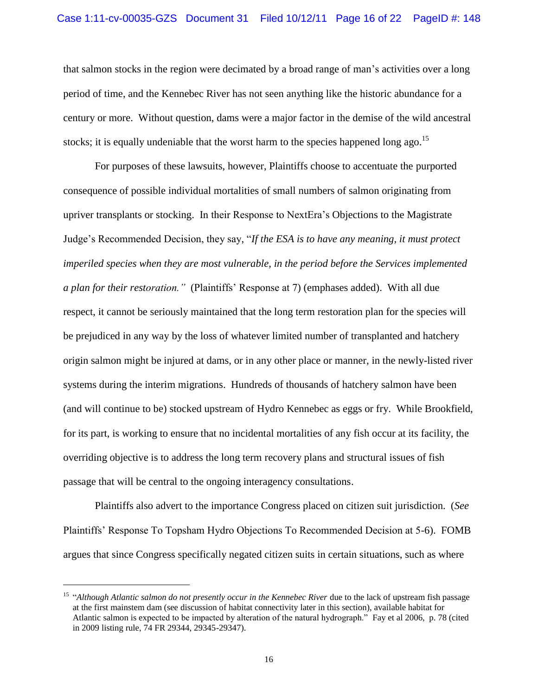that salmon stocks in the region were decimated by a broad range of man"s activities over a long period of time, and the Kennebec River has not seen anything like the historic abundance for a century or more. Without question, dams were a major factor in the demise of the wild ancestral stocks; it is equally undeniable that the worst harm to the species happened long ago.<sup>15</sup>

For purposes of these lawsuits, however, Plaintiffs choose to accentuate the purported consequence of possible individual mortalities of small numbers of salmon originating from upriver transplants or stocking. In their Response to NextEra"s Objections to the Magistrate Judge"s Recommended Decision, they say, "*If the ESA is to have any meaning, it must protect imperiled species when they are most vulnerable, in the period before the Services implemented a plan for their restoration."* (Plaintiffs" Response at 7) (emphases added). With all due respect, it cannot be seriously maintained that the long term restoration plan for the species will be prejudiced in any way by the loss of whatever limited number of transplanted and hatchery origin salmon might be injured at dams, or in any other place or manner, in the newly-listed river systems during the interim migrations. Hundreds of thousands of hatchery salmon have been (and will continue to be) stocked upstream of Hydro Kennebec as eggs or fry. While Brookfield, for its part, is working to ensure that no incidental mortalities of any fish occur at its facility, the overriding objective is to address the long term recovery plans and structural issues of fish passage that will be central to the ongoing interagency consultations.

Plaintiffs also advert to the importance Congress placed on citizen suit jurisdiction. (*See* Plaintiffs" Response To Topsham Hydro Objections To Recommended Decision at 5-6). FOMB argues that since Congress specifically negated citizen suits in certain situations, such as where

<sup>&</sup>lt;sup>15</sup> "Although Atlantic salmon do not presently occur in the Kennebec River due to the lack of upstream fish passage at the first mainstem dam (see discussion of habitat connectivity later in this section), available habitat for Atlantic salmon is expected to be impacted by alteration of the natural hydrograph." Fay et al 2006, p. 78 (cited in 2009 listing rule, 74 FR 29344, 29345-29347).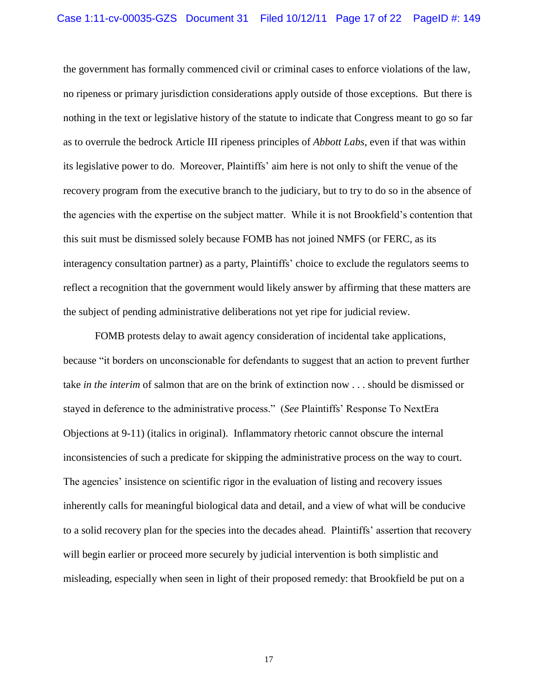the government has formally commenced civil or criminal cases to enforce violations of the law, no ripeness or primary jurisdiction considerations apply outside of those exceptions. But there is nothing in the text or legislative history of the statute to indicate that Congress meant to go so far as to overrule the bedrock Article III ripeness principles of *Abbott Labs*, even if that was within its legislative power to do. Moreover, Plaintiffs" aim here is not only to shift the venue of the recovery program from the executive branch to the judiciary, but to try to do so in the absence of the agencies with the expertise on the subject matter. While it is not Brookfield"s contention that this suit must be dismissed solely because FOMB has not joined NMFS (or FERC, as its interagency consultation partner) as a party, Plaintiffs" choice to exclude the regulators seems to reflect a recognition that the government would likely answer by affirming that these matters are the subject of pending administrative deliberations not yet ripe for judicial review.

FOMB protests delay to await agency consideration of incidental take applications, because "it borders on unconscionable for defendants to suggest that an action to prevent further take *in the interim* of salmon that are on the brink of extinction now . . . should be dismissed or stayed in deference to the administrative process." (*See* Plaintiffs" Response To NextEra Objections at 9-11) (italics in original). Inflammatory rhetoric cannot obscure the internal inconsistencies of such a predicate for skipping the administrative process on the way to court. The agencies' insistence on scientific rigor in the evaluation of listing and recovery issues inherently calls for meaningful biological data and detail, and a view of what will be conducive to a solid recovery plan for the species into the decades ahead. Plaintiffs" assertion that recovery will begin earlier or proceed more securely by judicial intervention is both simplistic and misleading, especially when seen in light of their proposed remedy: that Brookfield be put on a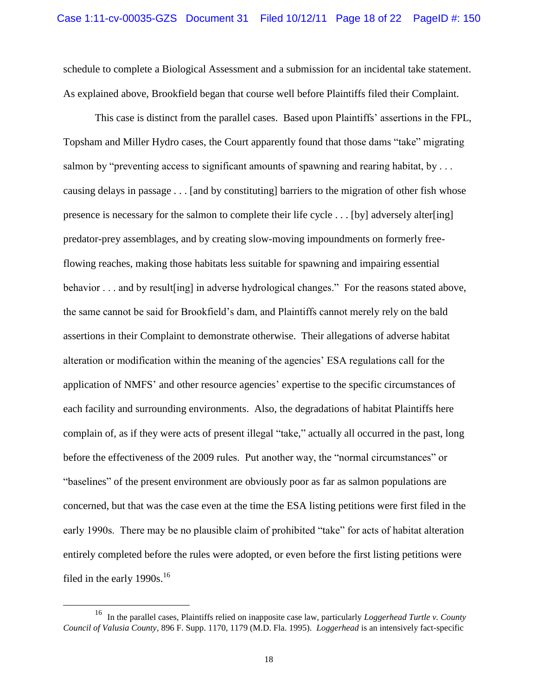schedule to complete a Biological Assessment and a submission for an incidental take statement. As explained above, Brookfield began that course well before Plaintiffs filed their Complaint.

This case is distinct from the parallel cases. Based upon Plaintiffs" assertions in the FPL, Topsham and Miller Hydro cases, the Court apparently found that those dams "take" migrating salmon by "preventing access to significant amounts of spawning and rearing habitat, by ... causing delays in passage . . . [and by constituting] barriers to the migration of other fish whose presence is necessary for the salmon to complete their life cycle . . . [by] adversely alter[ing] predator-prey assemblages, and by creating slow-moving impoundments on formerly freeflowing reaches, making those habitats less suitable for spawning and impairing essential behavior . . . and by result [ing] in adverse hydrological changes." For the reasons stated above, the same cannot be said for Brookfield"s dam, and Plaintiffs cannot merely rely on the bald assertions in their Complaint to demonstrate otherwise. Their allegations of adverse habitat alteration or modification within the meaning of the agencies" ESA regulations call for the application of NMFS" and other resource agencies" expertise to the specific circumstances of each facility and surrounding environments. Also, the degradations of habitat Plaintiffs here complain of, as if they were acts of present illegal "take," actually all occurred in the past, long before the effectiveness of the 2009 rules. Put another way, the "normal circumstances" or "baselines" of the present environment are obviously poor as far as salmon populations are concerned, but that was the case even at the time the ESA listing petitions were first filed in the early 1990s. There may be no plausible claim of prohibited "take" for acts of habitat alteration entirely completed before the rules were adopted, or even before the first listing petitions were filed in the early 1990s.<sup>16</sup>

<sup>16</sup> In the parallel cases, Plaintiffs relied on inapposite case law, particularly *Loggerhead Turtle v. County Council of Valusia County*, 896 F. Supp. 1170, 1179 (M.D. Fla. 1995). *Loggerhead* is an intensively fact-specific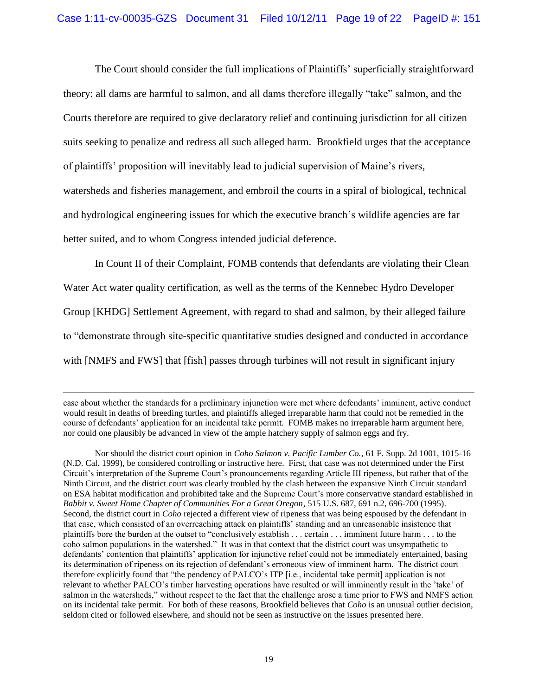The Court should consider the full implications of Plaintiffs" superficially straightforward theory: all dams are harmful to salmon, and all dams therefore illegally "take" salmon, and the Courts therefore are required to give declaratory relief and continuing jurisdiction for all citizen suits seeking to penalize and redress all such alleged harm. Brookfield urges that the acceptance of plaintiffs" proposition will inevitably lead to judicial supervision of Maine"s rivers, watersheds and fisheries management, and embroil the courts in a spiral of biological, technical and hydrological engineering issues for which the executive branch"s wildlife agencies are far better suited, and to whom Congress intended judicial deference.

In Count II of their Complaint, FOMB contends that defendants are violating their Clean Water Act water quality certification, as well as the terms of the Kennebec Hydro Developer Group [KHDG] Settlement Agreement, with regard to shad and salmon, by their alleged failure to "demonstrate through site-specific quantitative studies designed and conducted in accordance with [NMFS and FWS] that [fish] passes through turbines will not result in significant injury

case about whether the standards for a preliminary injunction were met where defendants" imminent, active conduct would result in deaths of breeding turtles, and plaintiffs alleged irreparable harm that could not be remedied in the course of defendants" application for an incidental take permit. FOMB makes no irreparable harm argument here, nor could one plausibly be advanced in view of the ample hatchery supply of salmon eggs and fry.

Nor should the district court opinion in *Coho Salmon v. Pacific Lumber Co.*, 61 F. Supp. 2d 1001, 1015-16 (N.D. Cal. 1999), be considered controlling or instructive here. First, that case was not determined under the First Circuit"s interpretation of the Supreme Court"s pronouncements regarding Article III ripeness, but rather that of the Ninth Circuit, and the district court was clearly troubled by the clash between the expansive Ninth Circuit standard on ESA habitat modification and prohibited take and the Supreme Court"s more conservative standard established in *Babbit v. Sweet Home Chapter of Communities For a Great Oregon*, 515 U.S. 687, 691 n.2, 696-700 (1995). Second, the district court in *Coho* rejected a different view of ripeness that was being espoused by the defendant in that case, which consisted of an overreaching attack on plaintiffs" standing and an unreasonable insistence that plaintiffs bore the burden at the outset to "conclusively establish . . . certain . . . imminent future harm . . . to the coho salmon populations in the watershed." It was in that context that the district court was unsympathetic to defendants' contention that plaintiffs' application for injunctive relief could not be immediately entertained, basing its determination of ripeness on its rejection of defendant"s erroneous view of imminent harm. The district court therefore explicitly found that "the pendency of PALCO"s ITP [i.e., incidental take permit] application is not relevant to whether PALCO"s timber harvesting operations have resulted or will imminently result in the "take" of salmon in the watersheds," without respect to the fact that the challenge arose a time prior to FWS and NMFS action on its incidental take permit. For both of these reasons, Brookfield believes that *Coho* is an unusual outlier decision, seldom cited or followed elsewhere, and should not be seen as instructive on the issues presented here.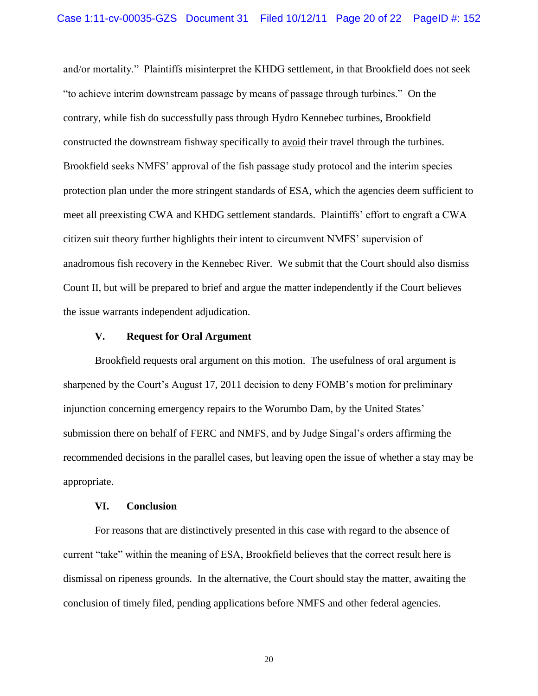and/or mortality." Plaintiffs misinterpret the KHDG settlement, in that Brookfield does not seek "to achieve interim downstream passage by means of passage through turbines." On the contrary, while fish do successfully pass through Hydro Kennebec turbines, Brookfield constructed the downstream fishway specifically to avoid their travel through the turbines. Brookfield seeks NMFS" approval of the fish passage study protocol and the interim species protection plan under the more stringent standards of ESA, which the agencies deem sufficient to meet all preexisting CWA and KHDG settlement standards. Plaintiffs" effort to engraft a CWA citizen suit theory further highlights their intent to circumvent NMFS" supervision of anadromous fish recovery in the Kennebec River. We submit that the Court should also dismiss Count II, but will be prepared to brief and argue the matter independently if the Court believes the issue warrants independent adjudication.

#### **V. Request for Oral Argument**

Brookfield requests oral argument on this motion. The usefulness of oral argument is sharpened by the Court's August 17, 2011 decision to deny FOMB's motion for preliminary injunction concerning emergency repairs to the Worumbo Dam, by the United States' submission there on behalf of FERC and NMFS, and by Judge Singal"s orders affirming the recommended decisions in the parallel cases, but leaving open the issue of whether a stay may be appropriate.

#### **VI. Conclusion**

For reasons that are distinctively presented in this case with regard to the absence of current "take" within the meaning of ESA, Brookfield believes that the correct result here is dismissal on ripeness grounds. In the alternative, the Court should stay the matter, awaiting the conclusion of timely filed, pending applications before NMFS and other federal agencies.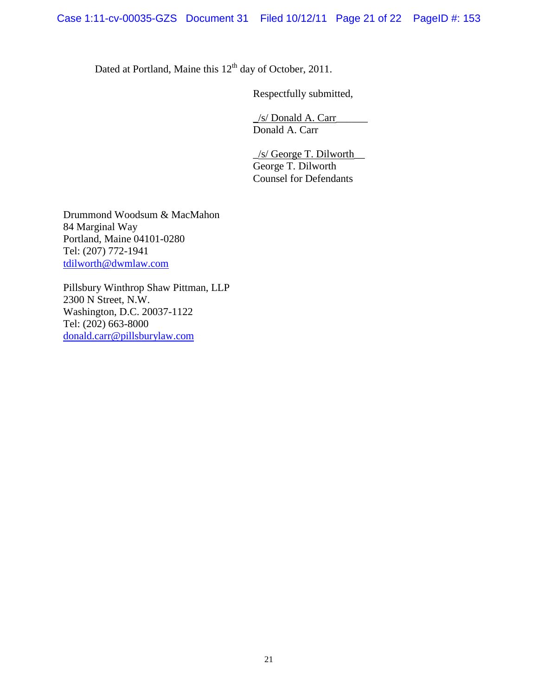Dated at Portland, Maine this 12<sup>th</sup> day of October, 2011.

Respectfully submitted,

\_/s/ Donald A. Carr\_\_\_\_\_\_ Donald A. Carr

 $\angle$ s/ George T. Dilworth $\angle$ George T. Dilworth Counsel for Defendants

Drummond Woodsum & MacMahon 84 Marginal Way Portland, Maine 04101-0280 Tel: (207) 772-1941 [tdilworth@dwmlaw.com](mailto:tdilworth@dwmlaw.com)

Pillsbury Winthrop Shaw Pittman, LLP 2300 N Street, N.W. Washington, D.C. 20037-1122 Tel: (202) 663-8000 [donald.carr@pillsburylaw.com](mailto:donald.carr@pillsburylaw.com)